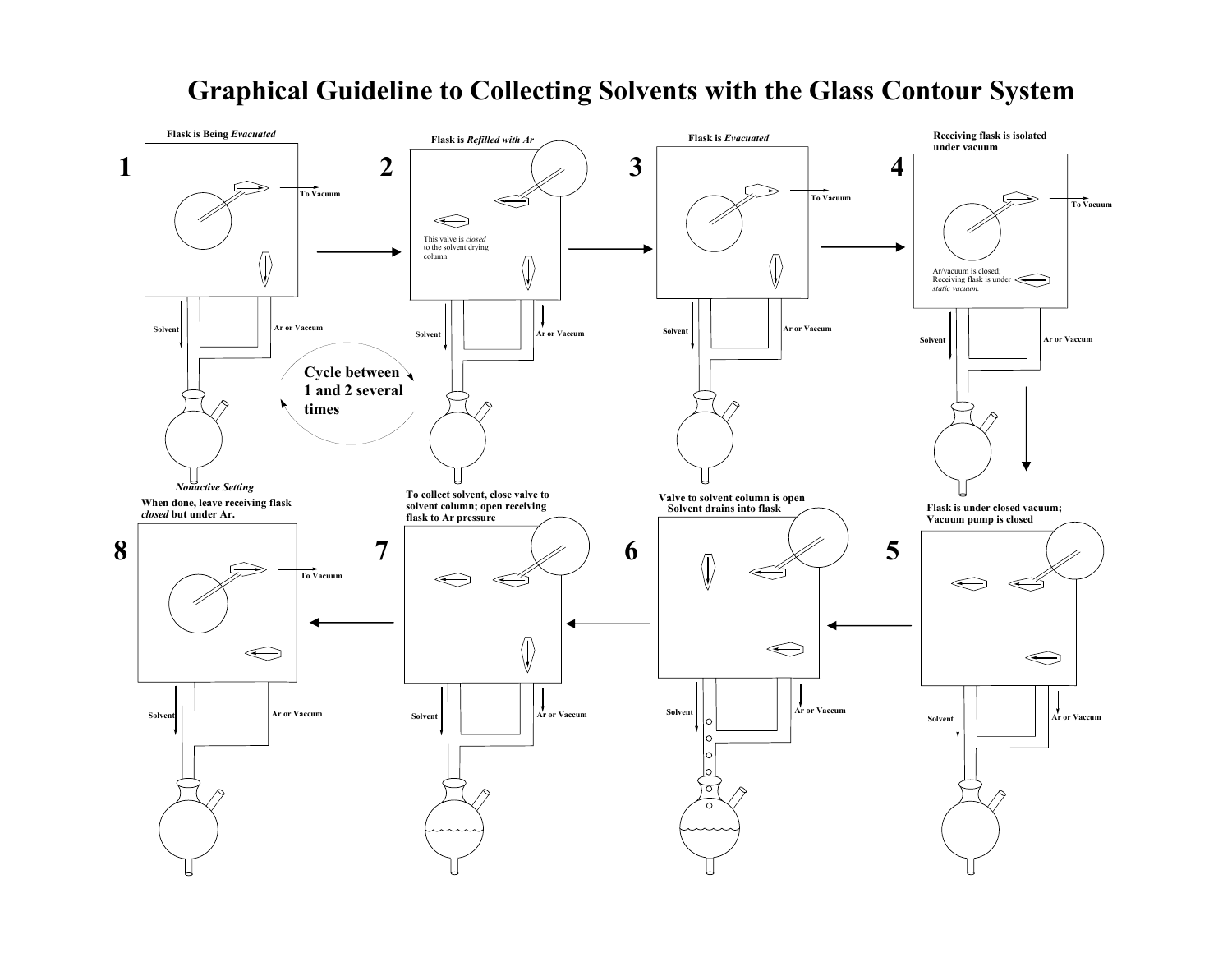# **Graphical Guideline to Collecting Solvents with the Glass Contour System**